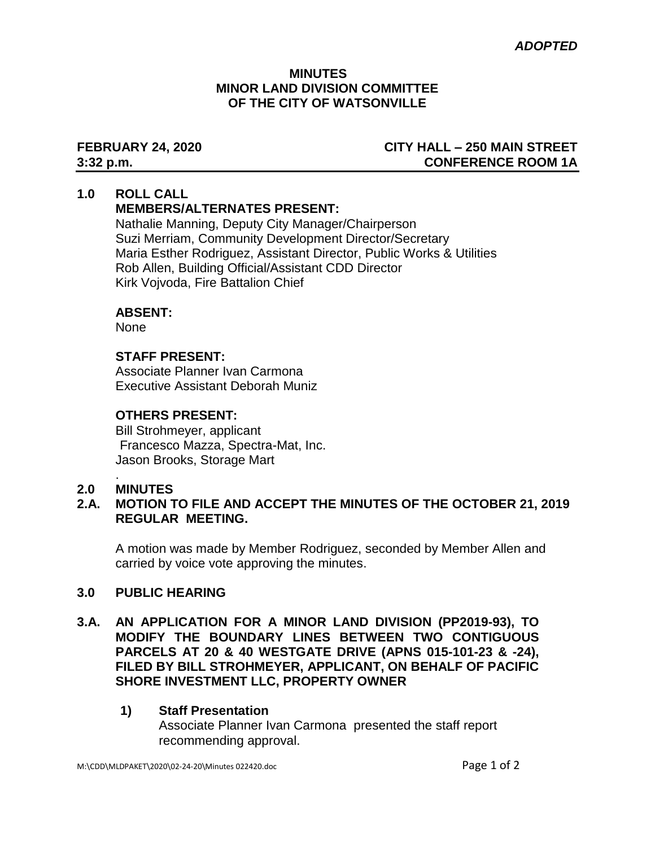#### **MINUTES MINOR LAND DIVISION COMMITTEE OF THE CITY OF WATSONVILLE**

# **FEBRUARY 24, 2020 CITY HALL – 250 MAIN STREET 3:32 p.m. CONFERENCE ROOM 1A**

#### **1.0 ROLL CALL MEMBERS/ALTERNATES PRESENT:**

Nathalie Manning, Deputy City Manager/Chairperson Suzi Merriam, Community Development Director/Secretary Maria Esther Rodriguez, Assistant Director, Public Works & Utilities Rob Allen, Building Official/Assistant CDD Director Kirk Vojvoda, Fire Battalion Chief

# **ABSENT:**

None

# **STAFF PRESENT:**

Associate Planner Ivan Carmona Executive Assistant Deborah Muniz

# **OTHERS PRESENT:**

Bill Strohmeyer, applicant Francesco Mazza, Spectra-Mat, Inc. Jason Brooks, Storage Mart

# **2.0 MINUTES**

.

# **2.A. MOTION TO FILE AND ACCEPT THE MINUTES OF THE OCTOBER 21, 2019 REGULAR MEETING.**

A motion was made by Member Rodriguez, seconded by Member Allen and carried by voice vote approving the minutes.

# **3.0 PUBLIC HEARING**

- **3.A. AN APPLICATION FOR A MINOR LAND DIVISION (PP2019-93), TO MODIFY THE BOUNDARY LINES BETWEEN TWO CONTIGUOUS PARCELS AT 20 & 40 WESTGATE DRIVE (APNS 015-101-23 & -24), FILED BY BILL STROHMEYER, APPLICANT, ON BEHALF OF PACIFIC SHORE INVESTMENT LLC, PROPERTY OWNER**
	- **1) Staff Presentation** Associate Planner Ivan Carmonapresented the staff report recommending approval.